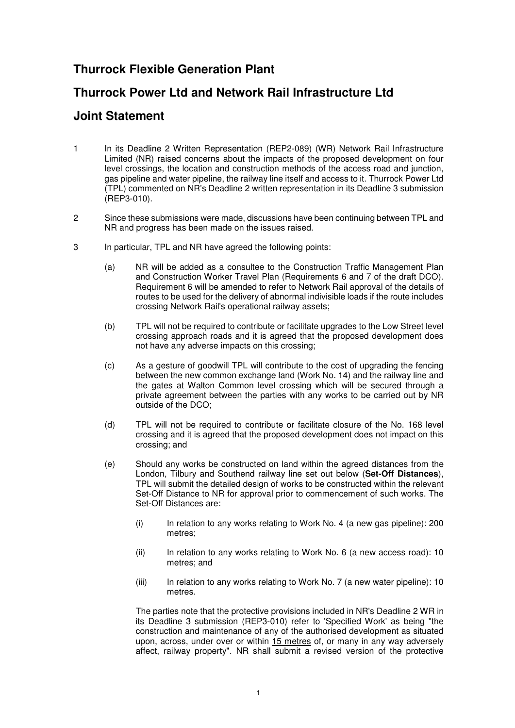## **Thurrock Flexible Generation Plant**

## **Thurrock Power Ltd and Network Rail Infrastructure Ltd**

## **Joint Statement**

- 1 In its Deadline 2 Written Representation (REP2-089) (WR) Network Rail Infrastructure Limited (NR) raised concerns about the impacts of the proposed development on four level crossings, the location and construction methods of the access road and junction, gas pipeline and water pipeline, the railway line itself and access to it. Thurrock Power Ltd (TPL) commented on NR's Deadline 2 written representation in its Deadline 3 submission (REP3-010).
- 2 Since these submissions were made, discussions have been continuing between TPL and NR and progress has been made on the issues raised.
- 3 In particular, TPL and NR have agreed the following points:
	- (a) NR will be added as a consultee to the Construction Traffic Management Plan and Construction Worker Travel Plan (Requirements 6 and 7 of the draft DCO). Requirement 6 will be amended to refer to Network Rail approval of the details of routes to be used for the delivery of abnormal indivisible loads if the route includes crossing Network Rail's operational railway assets;
	- (b) TPL will not be required to contribute or facilitate upgrades to the Low Street level crossing approach roads and it is agreed that the proposed development does not have any adverse impacts on this crossing;
	- (c) As a gesture of goodwill TPL will contribute to the cost of upgrading the fencing between the new common exchange land (Work No. 14) and the railway line and the gates at Walton Common level crossing which will be secured through a private agreement between the parties with any works to be carried out by NR outside of the DCO;
	- (d) TPL will not be required to contribute or facilitate closure of the No. 168 level crossing and it is agreed that the proposed development does not impact on this crossing; and
	- (e) Should any works be constructed on land within the agreed distances from the London, Tilbury and Southend railway line set out below (**Set-Off Distances**), TPL will submit the detailed design of works to be constructed within the relevant Set-Off Distance to NR for approval prior to commencement of such works. The Set-Off Distances are:
		- $(i)$  In relation to any works relating to Work No. 4 (a new gas pipeline): 200 metres;
		- (ii) In relation to any works relating to Work No. 6 (a new access road): 10 metres; and
		- (iii) In relation to any works relating to Work No. 7 (a new water pipeline): 10 metres.

The parties note that the protective provisions included in NR's Deadline 2 WR in its Deadline 3 submission (REP3-010) refer to 'Specified Work' as being "the construction and maintenance of any of the authorised development as situated upon, across, under over or within 15 metres of, or many in any way adversely affect, railway property". NR shall submit a revised version of the protective